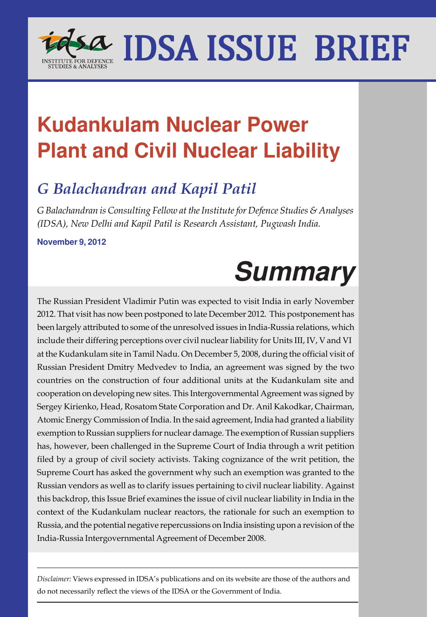

## **Kudankulam Nuclear Power Plant and Civil Nuclear Liability**

### *G Balachandran and Kapil Patil*

*G Balachandran is Consulting Fellow at the Institute for Defence Studies & Analyses (IDSA), New Delhi and Kapil Patil is Research Assistant, Pugwash India.*

**November 9, 2012**

# **Summary**

The Russian President Vladimir Putin was expected to visit India in early November 2012. That visit has now been postponed to late December 2012. This postponement has been largely attributed to some of the unresolved issues in India-Russia relations, which include their differing perceptions over civil nuclear liability for Units III, IV, V and VI at the Kudankulam site in Tamil Nadu. On December 5, 2008, during the official visit of Russian President Dmitry Medvedev to India, an agreement was signed by the two countries on the construction of four additional units at the Kudankulam site and cooperation on developing new sites. This Intergovernmental Agreement was signed by Sergey Kirienko, Head, Rosatom State Corporation and Dr. Anil Kakodkar, Chairman, Atomic Energy Commission of India. In the said agreement, India had granted a liability exemption to Russian suppliers for nuclear damage. The exemption of Russian suppliers has, however, been challenged in the Supreme Court of India through a writ petition filed by a group of civil society activists. Taking cognizance of the writ petition, the Supreme Court has asked the government why such an exemption was granted to the Russian vendors as well as to clarify issues pertaining to civil nuclear liability. Against this backdrop, this Issue Brief examines the issue of civil nuclear liability in India in the context of the Kudankulam nuclear reactors, the rationale for such an exemption to Russia, and the potential negative repercussions on India insisting upon a revision of the India-Russia Intergovernmental Agreement of December 2008.

*Disclaimer:* Views expressed in IDSA's publications and on its website are those of the authors and do not necessarily reflect the views of the IDSA or the Government of India.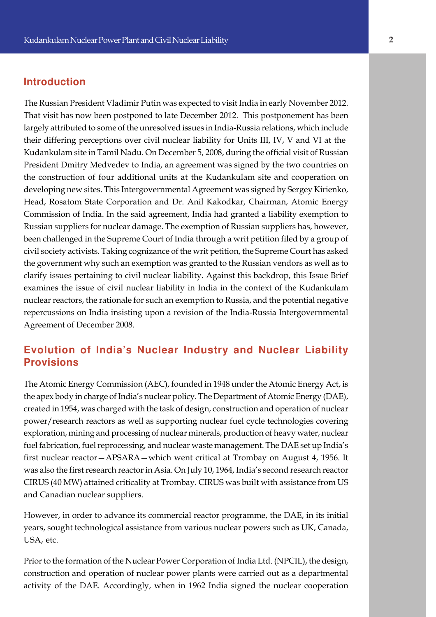#### **Introduction**

e their differing perceptions over civil nuclear liability for Units III, IV, V and VI at the The Russian President Vladimir Putin was expected to visit India in early November 2012. That visit has now been postponed to late December 2012. This postponement has been largely attributed to some of the unresolved issues in India-Russia relations, which include Kudankulam site in Tamil Nadu. On December 5, 2008, during the official visit of Russian President Dmitry Medvedev to India, an agreement was signed by the two countries on the construction of four additional units at the Kudankulam site and cooperation on developing new sites. This Intergovernmental Agreement was signed by Sergey Kirienko, Head, Rosatom State Corporation and Dr. Anil Kakodkar, Chairman, Atomic Energy Commission of India. In the said agreement, India had granted a liability exemption to Russian suppliers for nuclear damage. The exemption of Russian suppliers has, however, been challenged in the Supreme Court of India through a writ petition filed by a group of civil society activists. Taking cognizance of the writ petition, the Supreme Court has asked the government why such an exemption was granted to the Russian vendors as well as to clarify issues pertaining to civil nuclear liability. Against this backdrop, this Issue Brief examines the issue of civil nuclear liability in India in the context of the Kudankulam nuclear reactors, the rationale for such an exemption to Russia, and the potential negative repercussions on India insisting upon a revision of the India-Russia Intergovernmental Agreement of December 2008.

#### **Evolution of India's Nuclear Industry and Nuclear Liability Provisions**

The Atomic Energy Commission (AEC), founded in 1948 under the Atomic Energy Act, is the apex body in charge of India's nuclear policy. The Department of Atomic Energy (DAE), created in 1954, was charged with the task of design, construction and operation of nuclear power/research reactors as well as supporting nuclear fuel cycle technologies covering exploration, mining and processing of nuclear minerals, production of heavy water, nuclear fuel fabrication, fuel reprocessing, and nuclear waste management. The DAE set up India's first nuclear reactor—APSARA—which went critical at Trombay on August 4, 1956. It was also the first research reactor in Asia. On July 10, 1964, India's second research reactor CIRUS (40 MW) attained criticality at Trombay. CIRUS was built with assistance from US and Canadian nuclear suppliers.

However, in order to advance its commercial reactor programme, the DAE, in its initial years, sought technological assistance from various nuclear powers such as UK, Canada, USA, etc.

Prior to the formation of the Nuclear Power Corporation of India Ltd. (NPCIL), the design, construction and operation of nuclear power plants were carried out as a departmental activity of the DAE. Accordingly, when in 1962 India signed the nuclear cooperation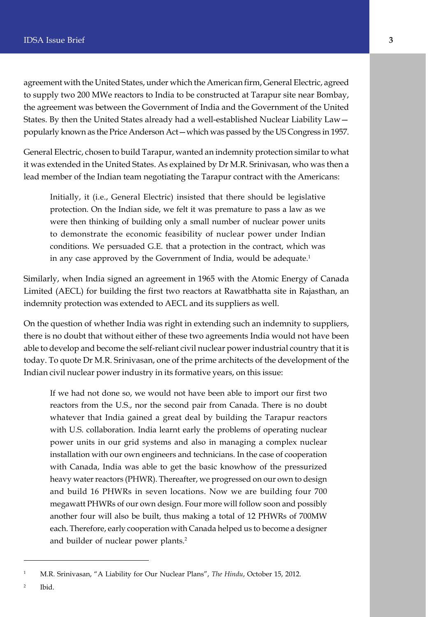agreement with the United States, under which the American firm, General Electric, agreed to supply two 200 MWe reactors to India to be constructed at Tarapur site near Bombay, the agreement was between the Government of India and the Government of the United States. By then the United States already had a well-established Nuclear Liability Law popularly known as the Price Anderson Act—which was passed by the US Congress in 1957.

General Electric, chosen to build Tarapur, wanted an indemnity protection similar to what it was extended in the United States. As explained by Dr M.R. Srinivasan, who was then a lead member of the Indian team negotiating the Tarapur contract with the Americans:

Initially, it (i.e., General Electric) insisted that there should be legislative protection. On the Indian side, we felt it was premature to pass a law as we were then thinking of building only a small number of nuclear power units to demonstrate the economic feasibility of nuclear power under Indian conditions. We persuaded G.E. that a protection in the contract, which was in any case approved by the Government of India, would be adequate.<sup>1</sup>

Similarly, when India signed an agreement in 1965 with the Atomic Energy of Canada Limited (AECL) for building the first two reactors at Rawatbhatta site in Rajasthan, an indemnity protection was extended to AECL and its suppliers as well.

On the question of whether India was right in extending such an indemnity to suppliers, there is no doubt that without either of these two agreements India would not have been able to develop and become the self-reliant civil nuclear power industrial country that it is today. To quote Dr M.R. Srinivasan, one of the prime architects of the development of the Indian civil nuclear power industry in its formative years, on this issue:

If we had not done so, we would not have been able to import our first two reactors from the U.S., nor the second pair from Canada. There is no doubt whatever that India gained a great deal by building the Tarapur reactors with U.S. collaboration. India learnt early the problems of operating nuclear power units in our grid systems and also in managing a complex nuclear installation with our own engineers and technicians. In the case of cooperation with Canada, India was able to get the basic knowhow of the pressurized heavy water reactors (PHWR). Thereafter, we progressed on our own to design and build 16 PHWRs in seven locations. Now we are building four 700 megawatt PHWRs of our own design. Four more will follow soon and possibly another four will also be built, thus making a total of 12 PHWRs of 700MW each. Therefore, early cooperation with Canada helped us to become a designer and builder of nuclear power plants.<sup>2</sup>

2 Ibid.

<sup>1</sup> M.R. Srinivasan, "A Liability for Our Nuclear Plans", *The Hindu*, October 15, 2012.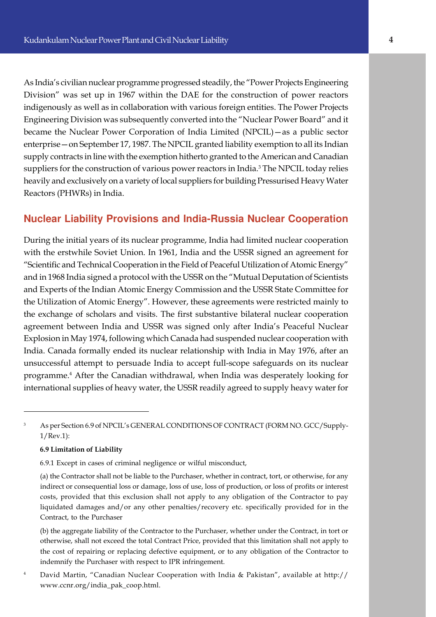e enterprise—on September 17, 1987. The NPCIL granted liability exemption to all its Indian As India's civilian nuclear programme progressed steadily, the "Power Projects Engineering Division" was set up in 1967 within the DAE for the construction of power reactors indigenously as well as in collaboration with various foreign entities. The Power Projects Engineering Division was subsequently converted into the "Nuclear Power Board" and it became the Nuclear Power Corporation of India Limited (NPCIL)—as a public sector supply contracts in line with the exemption hitherto granted to the American and Canadian suppliers for the construction of various power reactors in India. $^3$  The NPCIL today relies heavily and exclusively on a variety of local suppliers for building Pressurised Heavy Water Reactors (PHWRs) in India.

#### **Nuclear Liability Provisions and India-Russia Nuclear Cooperation**

During the initial years of its nuclear programme, India had limited nuclear cooperation with the erstwhile Soviet Union. In 1961, India and the USSR signed an agreement for "Scientific and Technical Cooperation in the Field of Peaceful Utilization of Atomic Energy" and in 1968 India signed a protocol with the USSR on the "Mutual Deputation of Scientists and Experts of the Indian Atomic Energy Commission and the USSR State Committee for the Utilization of Atomic Energy". However, these agreements were restricted mainly to the exchange of scholars and visits. The first substantive bilateral nuclear cooperation agreement between India and USSR was signed only after India's Peaceful Nuclear Explosion in May 1974, following which Canada had suspended nuclear cooperation with India. Canada formally ended its nuclear relationship with India in May 1976, after an unsuccessful attempt to persuade India to accept full-scope safeguards on its nuclear programme.<sup>4</sup> After the Canadian withdrawal, when India was desperately looking for international supplies of heavy water, the USSR readily agreed to supply heavy water for

#### **6.9 Limitation of Liability**

6.9.1 Except in cases of criminal negligence or wilful misconduct,

<sup>3</sup> As per Section 6.9 of NPCIL's GENERAL CONDITIONS OF CONTRACT (FORM NO. GCC/Supply-1/Rev.1):

<sup>(</sup>a) the Contractor shall not be liable to the Purchaser, whether in contract, tort, or otherwise, for any indirect or consequential loss or damage, loss of use, loss of production, or loss of profits or interest costs, provided that this exclusion shall not apply to any obligation of the Contractor to pay liquidated damages and/or any other penalties/recovery etc. specifically provided for in the Contract, to the Purchaser

<sup>(</sup>b) the aggregate liability of the Contractor to the Purchaser, whether under the Contract, in tort or otherwise, shall not exceed the total Contract Price, provided that this limitation shall not apply to the cost of repairing or replacing defective equipment, or to any obligation of the Contractor to indemnify the Purchaser with respect to IPR infringement.

<sup>4</sup> David Martin, "Canadian Nuclear Cooperation with India & Pakistan", available at http:// www.ccnr.org/india\_pak\_coop.html.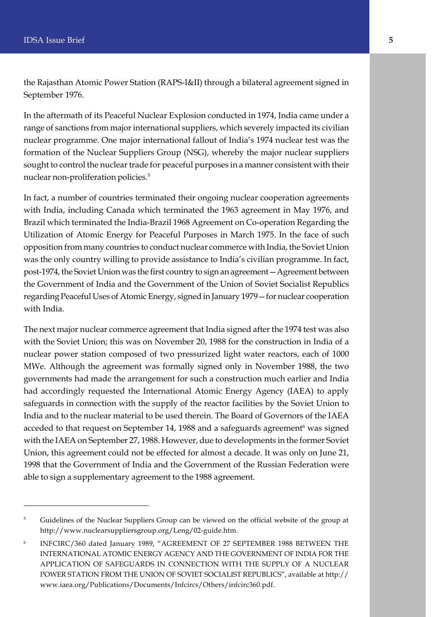the Rajasthan Atomic Power Station (RAPS-I&II) through a bilateral agreement signed in September 1976.

In the aftermath of its Peaceful Nuclear Explosion conducted in 1974, India came under a range of sanctions from major international suppliers, which severely impacted its civilian nuclear programme. One major international fallout of India's 1974 nuclear test was the formation of the Nuclear Suppliers Group (NSG), whereby the major nuclear suppliers sought to control the nuclear trade for peaceful purposes in a manner consistent with their nuclear non-proliferation policies.<sup>5</sup>

In fact, a number of countries terminated their ongoing nuclear cooperation agreements with India, including Canada which terminated the 1963 agreement in May 1976, and Brazil which terminated the India-Brazil 1968 Agreement on Co-operation Regarding the Utilization of Atomic Energy for Peaceful Purposes in March 1975. In the face of such opposition from many countries to conduct nuclear commerce with India, the Soviet Union was the only country willing to provide assistance to India's civilian programme. In fact, post-1974, the Soviet Union was the first country to sign an agreement—Agreement between the Government of India and the Government of the Union of Soviet Socialist Republics regarding Peaceful Uses of Atomic Energy, signed in January 1979—for nuclear cooperation with India.

The next major nuclear commerce agreement that India signed after the 1974 test was also with the Soviet Union; this was on November 20, 1988 for the construction in India of a nuclear power station composed of two pressurized light water reactors, each of 1000 MWe. Although the agreement was formally signed only in November 1988, the two governments had made the arrangement for such a construction much earlier and India had accordingly requested the International Atomic Energy Agency (IAEA) to apply safeguards in connection with the supply of the reactor facilities by the Soviet Union to India and to the nuclear material to be used therein. The Board of Governors of the IAEA acceded to that request on September 14, 1988 and a safeguards agreement $^{\rm 6}$  was signed with the IAEA on September 27, 1988. However, due to developments in the former Soviet Union, this agreement could not be effected for almost a decade. It was only on June 21, 1998 that the Government of India and the Government of the Russian Federation were able to sign a supplementary agreement to the 1988 agreement.

<sup>&</sup>lt;sup>5</sup> Guidelines of the Nuclear Suppliers Group can be viewed on the official website of the group at http://www.nuclearsuppliersgroup.org/Leng/02-guide.htm.

<sup>6</sup> INFCIRC/360 dated January 1989, "AGREEMENT OF 27 SEPTEMBER 1988 BETWEEN THE INTERNATIONAL ATOMIC ENERGY AGENCY AND THE GOVERNMENT OF INDIA FOR THE APPLICATION OF SAFEGUARDS IN CONNECTION WITH THE SUPPLY OF A NUCLEAR POWER STATION FROM THE UNION OF SOVIET SOCIALIST REPUBLICS", available at http:// www.iaea.org/Publications/Documents/Infcircs/Others/infcirc360.pdf.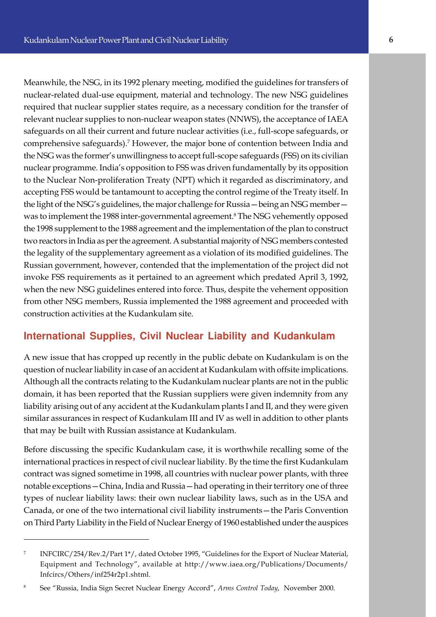e comprehensive safeguards).<sup>7</sup> However, the major bone of contention between India and nuclear-related dual-use equipment, material and technology. The new NSG guidelines required that nuclear supplier states require, as a necessary condition for the transfer of relevant nuclear supplies to non-nuclear weapon states (NNWS), the acceptance of IAEA safeguards on all their current and future nuclear activities (i.e., full-scope safeguards, or the NSG was the former's unwillingness to accept full-scope safeguards (FSS) on its civilian nuclear programme. India's opposition to FSS was driven fundamentally by its opposition to the Nuclear Non-proliferation Treaty (NPT) which it regarded as discriminatory, and accepting FSS would be tantamount to accepting the control regime of the Treaty itself. In the light of the NSG's guidelines, the major challenge for Russia—being an NSG member was to implement the 1988 inter-governmental agreement.<sup>8</sup> The NSG vehemently opposed the 1998 supplement to the 1988 agreement and the implementation of the plan to construct two reactors in India as per the agreement. A substantial majority of NSG members contested the legality of the supplementary agreement as a violation of its modified guidelines. The Russian government, however, contended that the implementation of the project did not invoke FSS requirements as it pertained to an agreement which predated April 3, 1992, when the new NSG guidelines entered into force. Thus, despite the vehement opposition from other NSG members, Russia implemented the 1988 agreement and proceeded with construction activities at the Kudankulam site.

#### **International Supplies, Civil Nuclear Liability and Kudankulam**

A new issue that has cropped up recently in the public debate on Kudankulam is on the question of nuclear liability in case of an accident at Kudankulam with offsite implications. Although all the contracts relating to the Kudankulam nuclear plants are not in the public domain, it has been reported that the Russian suppliers were given indemnity from any liability arising out of any accident at the Kudankulam plants I and II, and they were given similar assurances in respect of Kudankulam III and IV as well in addition to other plants that may be built with Russian assistance at Kudankulam.

Before discussing the specific Kudankulam case, it is worthwhile recalling some of the international practices in respect of civil nuclear liability. By the time the first Kudankulam contract was signed sometime in 1998, all countries with nuclear power plants, with three notable exceptions—China, India and Russia—had operating in their territory one of three types of nuclear liability laws: their own nuclear liability laws, such as in the USA and Canada, or one of the two international civil liability instruments—the Paris Convention on Third Party Liability in the Field of Nuclear Energy of 1960 established under the auspices

<sup>7</sup> INFCIRC/254/Rev.2/Part 1\*/, dated October 1995, "Guidelines for the Export of Nuclear Material, Equipment and Technology", available at http://www.iaea.org/Publications/Documents/ Infcircs/Others/inf254r2p1.shtml.

<sup>8</sup> See "Russia, India Sign Secret Nuclear Energy Accord", *Arms Control Today*, November 2000.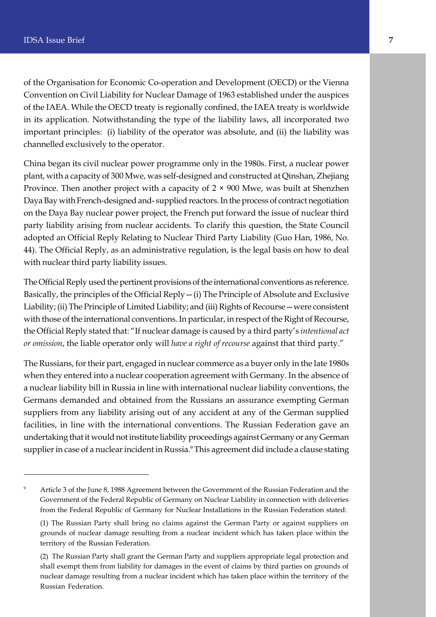of the Organisation for Economic Co-operation and Development (OECD) or the Vienna Convention on Civil Liability for Nuclear Damage of 1963 established under the auspices of the IAEA. While the OECD treaty is regionally confined, the IAEA treaty is worldwide in its application. Notwithstanding the type of the liability laws, all incorporated two important principles: (i) liability of the operator was absolute, and (ii) the liability was channelled exclusively to the operator.

China began its civil nuclear power programme only in the 1980s. First, a nuclear power plant, with a capacity of 300 Mwe, was self-designed and constructed at Qinshan, Zhejiang Province. Then another project with a capacity of  $2 \times 900$  Mwe, was built at Shenzhen Daya Bay with French-designed and- supplied reactors. In the process of contract negotiation on the Daya Bay nuclear power project, the French put forward the issue of nuclear third party liability arising from nuclear accidents. To clarify this question, the State Council adopted an Official Reply Relating to Nuclear Third Party Liability (Guo Han, 1986, No. 44). The Official Reply, as an administrative regulation, is the legal basis on how to deal with nuclear third party liability issues.

The Official Reply used the pertinent provisions of the international conventions as reference. Basically, the principles of the Official Reply—(i) The Principle of Absolute and Exclusive Liability; (ii) The Principle of Limited Liability; and (iii) Rights of Recourse—were consistent with those of the international conventions. In particular, in respect of the Right of Recourse, the Official Reply stated that: "If nuclear damage is caused by a third party's *intentional act or omission*, the liable operator only will *have a right of recourse* against that third party."

The Russians, for their part, engaged in nuclear commerce as a buyer only in the late 1980s when they entered into a nuclear cooperation agreement with Germany. In the absence of a nuclear liability bill in Russia in line with international nuclear liability conventions, the Germans demanded and obtained from the Russians an assurance exempting German suppliers from any liability arising out of any accident at any of the German supplied facilities, in line with the international conventions. The Russian Federation gave an undertaking that it would not institute liability proceedings against Germany or any German supplier in case of a nuclear incident in Russia.<sup>9</sup> This agreement did include a clause stating

<sup>9</sup> Article 3 of the June 8, 1988 Agreement between the Government of the Russian Federation and the Government of the Federal Republic of Germany on Nuclear Liability in connection with deliveries from the Federal Republic of Germany for Nuclear Installations in the Russian Federation stated:

<sup>(1)</sup> The Russian Party shall bring no claims against the German Party or against suppliers on grounds of nuclear damage resulting from a nuclear incident which has taken place within the territory of the Russian Federation.

<sup>(2)</sup> The Russian Party shall grant the German Party and suppliers appropriate legal protection and shall exempt them from liability for damages in the event of claims by third parties on grounds of nuclear damage resulting from a nuclear incident which has taken place within the territory of the Russian Federation.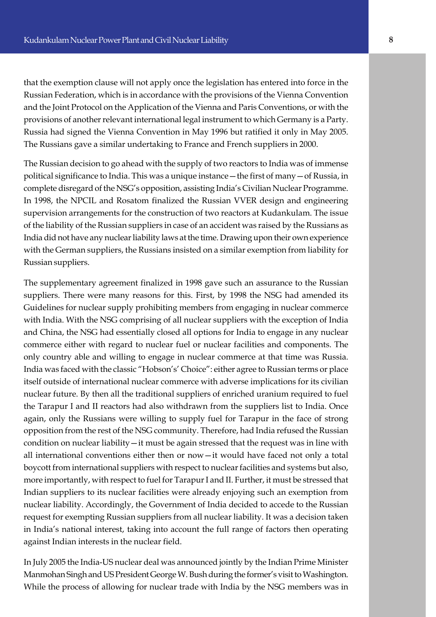The Russians gave a similar undertaking to France and French suppliers in 2000. that the exemption clause will not apply once the legislation has entered into force in the Russian Federation, which is in accordance with the provisions of the Vienna Convention and the Joint Protocol on the Application of the Vienna and Paris Conventions, or with the provisions of another relevant international legal instrument to which Germany is a Party. Russia had signed the Vienna Convention in May 1996 but ratified it only in May 2005.

The Russian decision to go ahead with the supply of two reactors to India was of immense political significance to India. This was a unique instance—the first of many—of Russia, in complete disregard of the NSG's opposition, assisting India's Civilian Nuclear Programme. In 1998, the NPCIL and Rosatom finalized the Russian VVER design and engineering supervision arrangements for the construction of two reactors at Kudankulam. The issue of the liability of the Russian suppliers in case of an accident was raised by the Russians as India did not have any nuclear liability laws at the time. Drawing upon their own experience with the German suppliers, the Russians insisted on a similar exemption from liability for Russian suppliers.

The supplementary agreement finalized in 1998 gave such an assurance to the Russian suppliers. There were many reasons for this. First, by 1998 the NSG had amended its Guidelines for nuclear supply prohibiting members from engaging in nuclear commerce with India. With the NSG comprising of all nuclear suppliers with the exception of India and China, the NSG had essentially closed all options for India to engage in any nuclear commerce either with regard to nuclear fuel or nuclear facilities and components. The only country able and willing to engage in nuclear commerce at that time was Russia. India was faced with the classic "Hobson's' Choice": either agree to Russian terms or place itself outside of international nuclear commerce with adverse implications for its civilian nuclear future. By then all the traditional suppliers of enriched uranium required to fuel the Tarapur I and II reactors had also withdrawn from the suppliers list to India. Once again, only the Russians were willing to supply fuel for Tarapur in the face of strong opposition from the rest of the NSG community. Therefore, had India refused the Russian condition on nuclear liability—it must be again stressed that the request was in line with all international conventions either then or now—it would have faced not only a total boycott from international suppliers with respect to nuclear facilities and systems but also, more importantly, with respect to fuel for Tarapur I and II. Further, it must be stressed that Indian suppliers to its nuclear facilities were already enjoying such an exemption from nuclear liability. Accordingly, the Government of India decided to accede to the Russian request for exempting Russian suppliers from all nuclear liability. It was a decision taken in India's national interest, taking into account the full range of factors then operating against Indian interests in the nuclear field.

In July 2005 the India-US nuclear deal was announced jointly by the Indian Prime Minister Manmohan Singh and US President George W. Bush during the former's visit to Washington. While the process of allowing for nuclear trade with India by the NSG members was in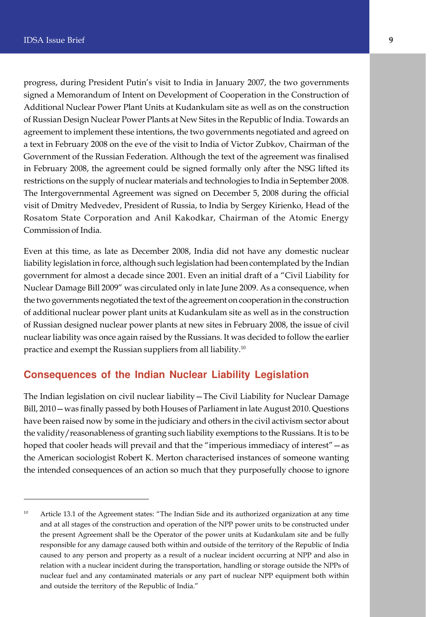progress, during President Putin's visit to India in January 2007, the two governments signed a Memorandum of Intent on Development of Cooperation in the Construction of Additional Nuclear Power Plant Units at Kudankulam site as well as on the construction of Russian Design Nuclear Power Plants at New Sites in the Republic of India. Towards an agreement to implement these intentions, the two governments negotiated and agreed on a text in February 2008 on the eve of the visit to India of Victor Zubkov, Chairman of the Government of the Russian Federation. Although the text of the agreement was finalised in February 2008, the agreement could be signed formally only after the NSG lifted its restrictions on the supply of nuclear materials and technologies to India in September 2008. The Intergovernmental Agreement was signed on December 5, 2008 during the official visit of Dmitry Medvedev, President of Russia, to India by Sergey Kirienko, Head of the Rosatom State Corporation and Anil Kakodkar, Chairman of the Atomic Energy Commission of India.

Even at this time, as late as December 2008, India did not have any domestic nuclear liability legislation in force, although such legislation had been contemplated by the Indian government for almost a decade since 2001. Even an initial draft of a "Civil Liability for Nuclear Damage Bill 2009" was circulated only in late June 2009. As a consequence, when the two governments negotiated the text of the agreement on cooperation in the construction of additional nuclear power plant units at Kudankulam site as well as in the construction of Russian designed nuclear power plants at new sites in February 2008, the issue of civil nuclear liability was once again raised by the Russians. It was decided to follow the earlier practice and exempt the Russian suppliers from all liability.<sup>10</sup>

#### **Consequences of the Indian Nuclear Liability Legislation**

The Indian legislation on civil nuclear liability—The Civil Liability for Nuclear Damage Bill, 2010—was finally passed by both Houses of Parliament in late August 2010. Questions have been raised now by some in the judiciary and others in the civil activism sector about the validity/reasonableness of granting such liability exemptions to the Russians. It is to be hoped that cooler heads will prevail and that the "imperious immediacy of interest" — as the American sociologist Robert K. Merton characterised instances of someone wanting the intended consequences of an action so much that they purposefully choose to ignore

<sup>&</sup>lt;sup>10</sup> Article 13.1 of the Agreement states: "The Indian Side and its authorized organization at any time and at all stages of the construction and operation of the NPP power units to be constructed under the present Agreement shall be the Operator of the power units at Kudankulam site and be fully responsible for any damage caused both within and outside of the territory of the Republic of India caused to any person and property as a result of a nuclear incident occurring at NPP and also in relation with a nuclear incident during the transportation, handling or storage outside the NPPs of nuclear fuel and any contaminated materials or any part of nuclear NPP equipment both within and outside the territory of the Republic of India."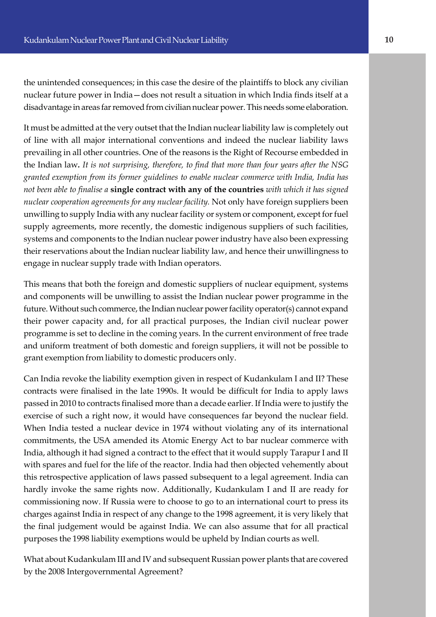the unintended consequences; in this case the desire of the plaintiffs to block any civilian nuclear future power in India—does not result a situation in which India finds itself at a disadvantage in areas far removed from civilian nuclear power. This needs some elaboration.

e of line with all major international conventions and indeed the nuclear liability laws It must be admitted at the very outset that the Indian nuclear liability law is completely out prevailing in all other countries. One of the reasons is the Right of Recourse embedded in the Indian law*. It is not surprising, therefore, to find that more than four years after the NSG granted exemption from its former guidelines to enable nuclear commerce with India, India has not been able to finalise a* **single contract with any of the countries** *with which it has signed nuclear cooperation agreements for any nuclear facility.* Not only have foreign suppliers been unwilling to supply India with any nuclear facility or system or component, except for fuel supply agreements, more recently, the domestic indigenous suppliers of such facilities, systems and components to the Indian nuclear power industry have also been expressing their reservations about the Indian nuclear liability law, and hence their unwillingness to engage in nuclear supply trade with Indian operators.

This means that both the foreign and domestic suppliers of nuclear equipment, systems and components will be unwilling to assist the Indian nuclear power programme in the future. Without such commerce, the Indian nuclear power facility operator(s) cannot expand their power capacity and, for all practical purposes, the Indian civil nuclear power programme is set to decline in the coming years. In the current environment of free trade and uniform treatment of both domestic and foreign suppliers, it will not be possible to grant exemption from liability to domestic producers only.

Can India revoke the liability exemption given in respect of Kudankulam I and II? These contracts were finalised in the late 1990s. It would be difficult for India to apply laws passed in 2010 to contracts finalised more than a decade earlier. If India were to justify the exercise of such a right now, it would have consequences far beyond the nuclear field. When India tested a nuclear device in 1974 without violating any of its international commitments, the USA amended its Atomic Energy Act to bar nuclear commerce with India, although it had signed a contract to the effect that it would supply Tarapur I and II with spares and fuel for the life of the reactor. India had then objected vehemently about this retrospective application of laws passed subsequent to a legal agreement. India can hardly invoke the same rights now. Additionally, Kudankulam I and II are ready for commissioning now. If Russia were to choose to go to an international court to press its charges against India in respect of any change to the 1998 agreement, it is very likely that the final judgement would be against India. We can also assume that for all practical purposes the 1998 liability exemptions would be upheld by Indian courts as well.

What about Kudankulam III and IV and subsequent Russian power plants that are covered by the 2008 Intergovernmental Agreement?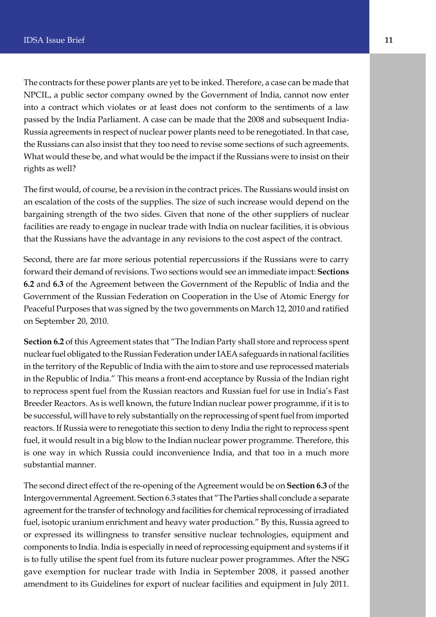The contracts for these power plants are yet to be inked. Therefore, a case can be made that NPCIL, a public sector company owned by the Government of India, cannot now enter into a contract which violates or at least does not conform to the sentiments of a law passed by the India Parliament. A case can be made that the 2008 and subsequent India-Russia agreements in respect of nuclear power plants need to be renegotiated. In that case, the Russians can also insist that they too need to revise some sections of such agreements. What would these be, and what would be the impact if the Russians were to insist on their rights as well?

The first would, of course, be a revision in the contract prices. The Russians would insist on an escalation of the costs of the supplies. The size of such increase would depend on the bargaining strength of the two sides. Given that none of the other suppliers of nuclear facilities are ready to engage in nuclear trade with India on nuclear facilities, it is obvious that the Russians have the advantage in any revisions to the cost aspect of the contract.

Second, there are far more serious potential repercussions if the Russians were to carry forward their demand of revisions. Two sections would see an immediate impact: **Sections 6.2** and **6.3** of the Agreement between the Government of the Republic of India and the Government of the Russian Federation on Cooperation in the Use of Atomic Energy for Peaceful Purposes that was signed by the two governments on March 12, 2010 and ratified on September 20, 2010.

**Section 6.2** of this Agreement states that "The Indian Party shall store and reprocess spent nuclear fuel obligated to the Russian Federation under IAEA safeguards in national facilities in the territory of the Republic of India with the aim to store and use reprocessed materials in the Republic of India." This means a front-end acceptance by Russia of the Indian right to reprocess spent fuel from the Russian reactors and Russian fuel for use in India's Fast Breeder Reactors. As is well known, the future Indian nuclear power programme, if it is to be successful, will have to rely substantially on the reprocessing of spent fuel from imported reactors. If Russia were to renegotiate this section to deny India the right to reprocess spent fuel, it would result in a big blow to the Indian nuclear power programme. Therefore, this is one way in which Russia could inconvenience India, and that too in a much more substantial manner.

The second direct effect of the re-opening of the Agreement would be on **Section 6.3** of the Intergovernmental Agreement. Section 6.3 states that "The Parties shall conclude a separate agreement for the transfer of technology and facilities for chemical reprocessing of irradiated fuel, isotopic uranium enrichment and heavy water production." By this, Russia agreed to or expressed its willingness to transfer sensitive nuclear technologies, equipment and components to India. India is especially in need of reprocessing equipment and systems if it is to fully utilise the spent fuel from its future nuclear power programmes. After the NSG gave exemption for nuclear trade with India in September 2008, it passed another amendment to its Guidelines for export of nuclear facilities and equipment in July 2011.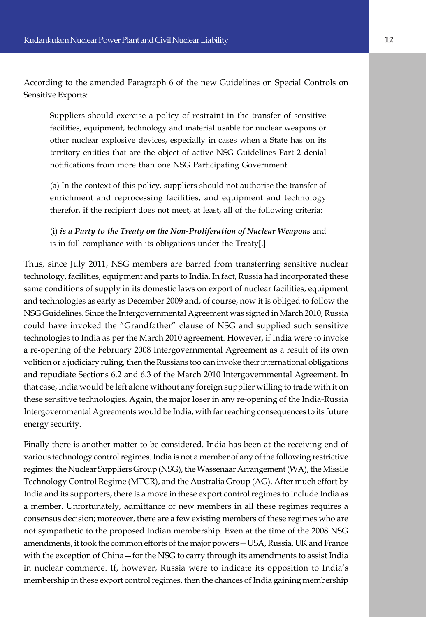According to the amended Paragraph 6 of the new Guidelines on Special Controls on Sensitive Exports:

Suppliers should exercise a policy of restraint in the transfer of sensitive facilities, equipment, technology and material usable for nuclear weapons or other nuclear explosive devices, especially in cases when a State has on its territory entities that are the object of active NSG Guidelines Part 2 denial notifications from more than one NSG Participating Government.

(a) In the context of this policy, suppliers should not authorise the transfer of enrichment and reprocessing facilities, and equipment and technology therefor, if the recipient does not meet, at least, all of the following criteria:

(i) *is a Party to the Treaty on the Non-Proliferation of Nuclear Weapons* and is in full compliance with its obligations under the Treaty[.]

Thus, since July 2011, NSG members are barred from transferring sensitive nuclear technology, facilities, equipment and parts to India. In fact, Russia had incorporated these same conditions of supply in its domestic laws on export of nuclear facilities, equipment and technologies as early as December 2009 and, of course, now it is obliged to follow the NSG Guidelines. Since the Intergovernmental Agreement was signed in March 2010, Russia could have invoked the "Grandfather" clause of NSG and supplied such sensitive technologies to India as per the March 2010 agreement. However, if India were to invoke a re-opening of the February 2008 Intergovernmental Agreement as a result of its own volition or a judiciary ruling, then the Russians too can invoke their international obligations and repudiate Sections 6.2 and 6.3 of the March 2010 Intergovernmental Agreement. In that case, India would be left alone without any foreign supplier willing to trade with it on these sensitive technologies. Again, the major loser in any re-opening of the India-Russia Intergovernmental Agreements would be India, with far reaching consequences to its future energy security.

Finally there is another matter to be considered. India has been at the receiving end of various technology control regimes. India is not a member of any of the following restrictive regimes: the Nuclear Suppliers Group (NSG), the Wassenaar Arrangement (WA), the Missile Technology Control Regime (MTCR), and the Australia Group (AG). After much effort by India and its supporters, there is a move in these export control regimes to include India as a member. Unfortunately, admittance of new members in all these regimes requires a consensus decision; moreover, there are a few existing members of these regimes who are not sympathetic to the proposed Indian membership. Even at the time of the 2008 NSG amendments, it took the common efforts of the major powers—USA, Russia, UK and France with the exception of China—for the NSG to carry through its amendments to assist India in nuclear commerce. If, however, Russia were to indicate its opposition to India's membership in these export control regimes, then the chances of India gaining membership